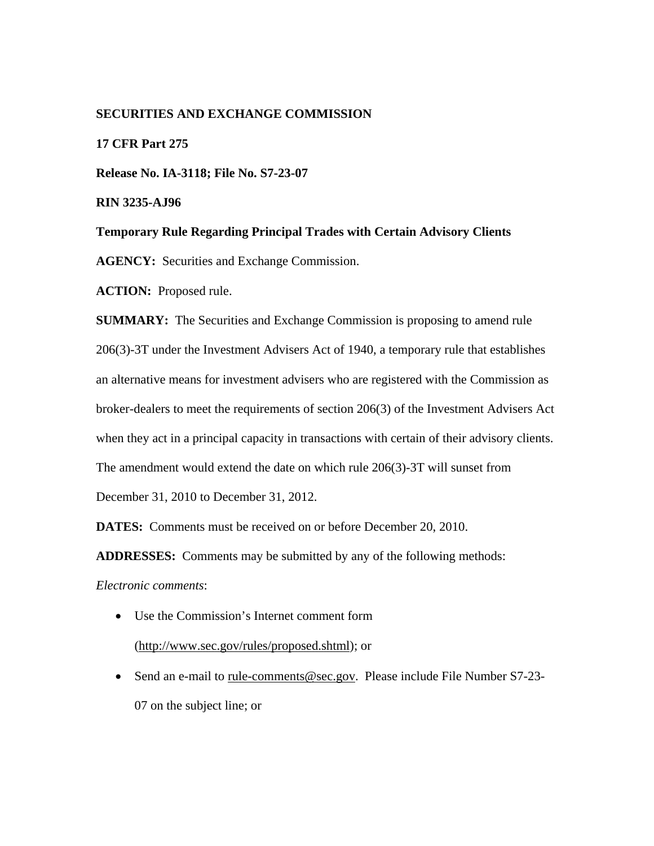# **SECURITIES AND EXCHANGE COMMISSION**

# **17 CFR Part 275**

**Release No. IA-3118; File No. S7-23-07** 

**RIN 3235-AJ96** 

**Temporary Rule Regarding Principal Trades with Certain Advisory Clients** 

**AGENCY:** Securities and Exchange Commission.

**ACTION:** Proposed rule.

**SUMMARY:** The Securities and Exchange Commission is proposing to amend rule 206(3)-3T under the Investment Advisers Act of 1940, a temporary rule that establishes an alternative means for investment advisers who are registered with the Commission as broker-dealers to meet the requirements of section 206(3) of the Investment Advisers Act when they act in a principal capacity in transactions with certain of their advisory clients. The amendment would extend the date on which rule 206(3)-3T will sunset from December 31, 2010 to December 31, 2012.

**DATES:** Comments must be received on or before December 20, 2010.

**ADDRESSES:** Comments may be submitted by any of the following methods:

*Electronic comments*:

- Use the Commission's Internet comment form (http://www.sec.gov/rules/proposed.shtml); or
- Send an e-mail to rule-comments@sec.gov. Please include File Number S7-23-07 on the subject line; or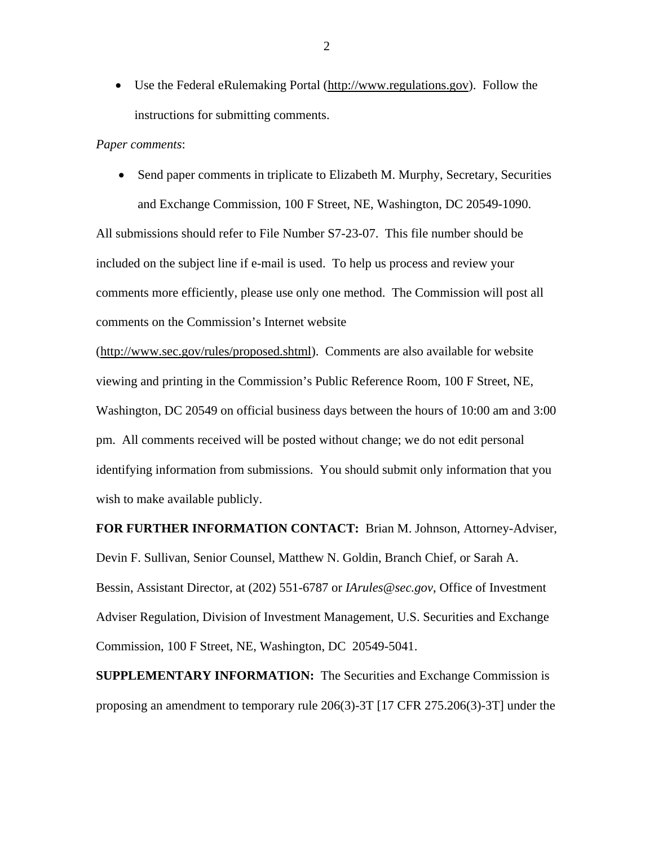• Use the Federal eRulemaking Portal (http://www.regulations.gov). Follow the instructions for submitting comments.

#### *Paper comments*:

• Send paper comments in triplicate to Elizabeth M. Murphy, Secretary, Securities and Exchange Commission, 100 F Street, NE, Washington, DC 20549-1090.

All submissions should refer to File Number S7-23-07. This file number should be included on the subject line if e-mail is used. To help us process and review your comments more efficiently, please use only one method. The Commission will post all comments on the Commission's Internet website

(http://www.sec.gov/rules/proposed.shtml). Comments are also available for website viewing and printing in the Commission's Public Reference Room, 100 F Street, NE, Washington, DC 20549 on official business days between the hours of 10:00 am and 3:00 pm. All comments received will be posted without change; we do not edit personal identifying information from submissions. You should submit only information that you wish to make available publicly.

**FOR FURTHER INFORMATION CONTACT:** Brian M. Johnson, Attorney-Adviser,

Devin F. Sullivan, Senior Counsel, Matthew N. Goldin, Branch Chief, or Sarah A. Bessin, Assistant Director, at (202) 551-6787 or *IArules@sec.gov*, Office of Investment Adviser Regulation, Division of Investment Management, U.S. Securities and Exchange Commission, 100 F Street, NE, Washington, DC 20549-5041.

**SUPPLEMENTARY INFORMATION:** The Securities and Exchange Commission is proposing an amendment to temporary rule 206(3)-3T [17 CFR 275.206(3)-3T] under the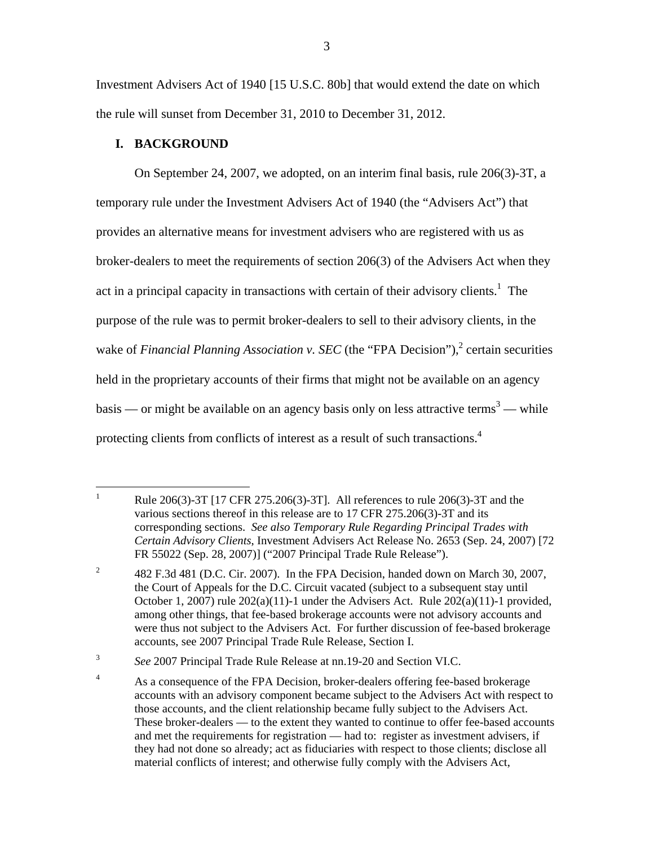Investment Advisers Act of 1940 [15 U.S.C. 80b] that would extend the date on which the rule will sunset from December 31, 2010 to December 31, 2012.

# **I. BACKGROUND**

<u>.</u>

protecting clients from conflicts of interest as a result of such transactions.<sup>4</sup> On September 24, 2007, we adopted, on an interim final basis, rule 206(3)-3T, a temporary rule under the Investment Advisers Act of 1940 (the "Advisers Act") that provides an alternative means for investment advisers who are registered with us as broker-dealers to meet the requirements of section 206(3) of the Advisers Act when they act in a principal capacity in transactions with certain of their advisory clients.<sup>1</sup> The purpose of the rule was to permit broker-dealers to sell to their advisory clients, in the wake of *Financial Planning Association v. SEC* (the "FPA Decision"),<sup>2</sup> certain securities held in the proprietary accounts of their firms that might not be available on an agency basis — or might be available on an agency basis only on less attractive terms<sup>3</sup> — while

Rule 206(3)-3T [17 CFR 275.206(3)-3T]. All references to rule 206(3)-3T and the various sections thereof in this release are to 17 CFR 275.206(3)-3T and its corresponding sections. *See also Temporary Rule Regarding Principal Trades with Certain Advisory Clients*, Investment Advisers Act Release No. 2653 (Sep. 24, 2007) [72 FR 55022 (Sep. 28, 2007)] ("2007 Principal Trade Rule Release").

 $\overline{c}$ <sup>2</sup> 482 F.3d 481 (D.C. Cir. 2007). In the FPA Decision, handed down on March 30, 2007, the Court of Appeals for the D.C. Circuit vacated (subject to a subsequent stay until October 1, 2007) rule  $202(a)(11)-1$  under the Advisers Act. Rule  $202(a)(11)-1$  provided, among other things, that fee-based brokerage accounts were not advisory accounts and were thus not subject to the Advisers Act. For further discussion of fee-based brokerage accounts, see 2007 Principal Trade Rule Release, Section I.

 $\overline{3}$ See 2007 Principal Trade Rule Release at nn.19-20 and Section VI.C.

 $\overline{4}$ As a consequence of the FPA Decision, broker-dealers offering fee-based brokerage accounts with an advisory component became subject to the Advisers Act with respect to those accounts, and the client relationship became fully subject to the Advisers Act. These broker-dealers — to the extent they wanted to continue to offer fee-based accounts and met the requirements for registration — had to: register as investment advisers, if they had not done so already; act as fiduciaries with respect to those clients; disclose all material conflicts of interest; and otherwise fully comply with the Advisers Act,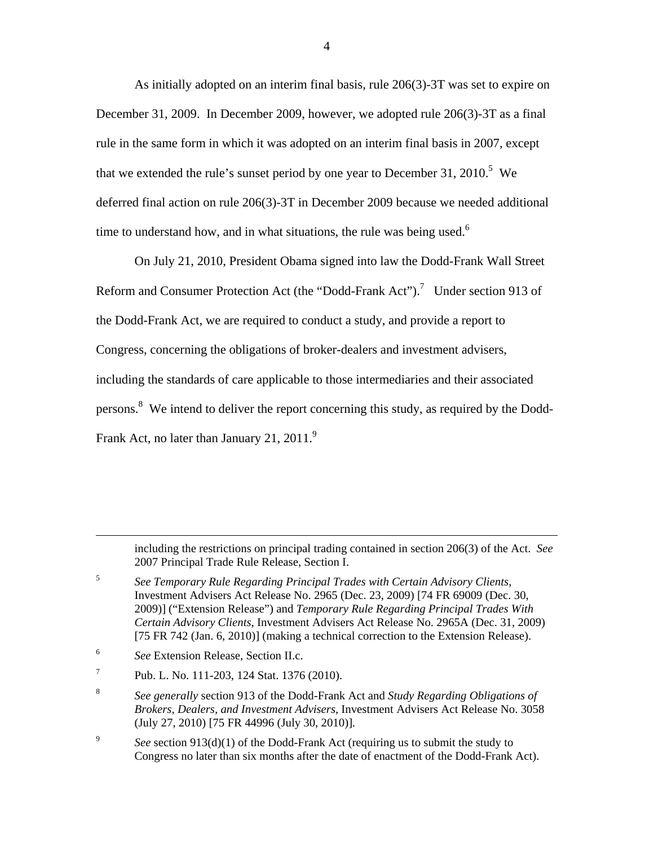As initially adopted on an interim final basis, rule 206(3)-3T was set to expire on December 31, 2009. In December 2009, however, we adopted rule 206(3)-3T as a final rule in the same form in which it was adopted on an interim final basis in 2007, except that we extended the rule's sunset period by one year to December 31, 2010.<sup>5</sup> We deferred final action on rule 206(3)-3T in December 2009 because we needed additional time to understand how, and in what situations, the rule was being used.<sup>6</sup>

On July 21, 2010, President Obama signed into law the Dodd-Frank Wall Street Reform and Consumer Protection Act (the "Dodd-Frank Act").<sup>7</sup> Under section 913 of the Dodd-Frank Act, we are required to conduct a study, and provide a report to Congress, concerning the obligations of broker-dealers and investment advisers, including the standards of care applicable to those intermediaries and their associated persons.<sup>8</sup> We intend to deliver the report concerning this study, as required by the Dodd-Frank Act, no later than January 21, 2011.<sup>9</sup>

including the restrictions on principal trading contained in section 206(3) of the Act. *See*  2007 Principal Trade Rule Release, Section I.

5 <sup>5</sup> *See Temporary Rule Regarding Principal Trades with Certain Advisory Clients*, Investment Advisers Act Release No. 2965 (Dec. 23, 2009) [74 FR 69009 (Dec. 30, 2009)] ("Extension Release") and *Temporary Rule Regarding Principal Trades With Certain Advisory Clients*, Investment Advisers Act Release No. 2965A (Dec. 31, 2009) [75 FR 742 (Jan. 6, 2010)] (making a technical correction to the Extension Release).

6 See Extension Release, Section II.c.

1

 $\overline{7}$ Pub. L. No. 111-203, 124 Stat. 1376 (2010).

9 See section 913(d)(1) of the Dodd-Frank Act (requiring us to submit the study to Congress no later than six months after the date of enactment of the Dodd-Frank Act).

 $\overline{8}$ (July 27, 2010) [75 FR 44996 (July 30, 2010)]. <sup>8</sup> *See generally* section 913 of the Dodd-Frank Act and *Study Regarding Obligations of Brokers, Dealers, and Investment Advisers*, Investment Advisers Act Release No. 3058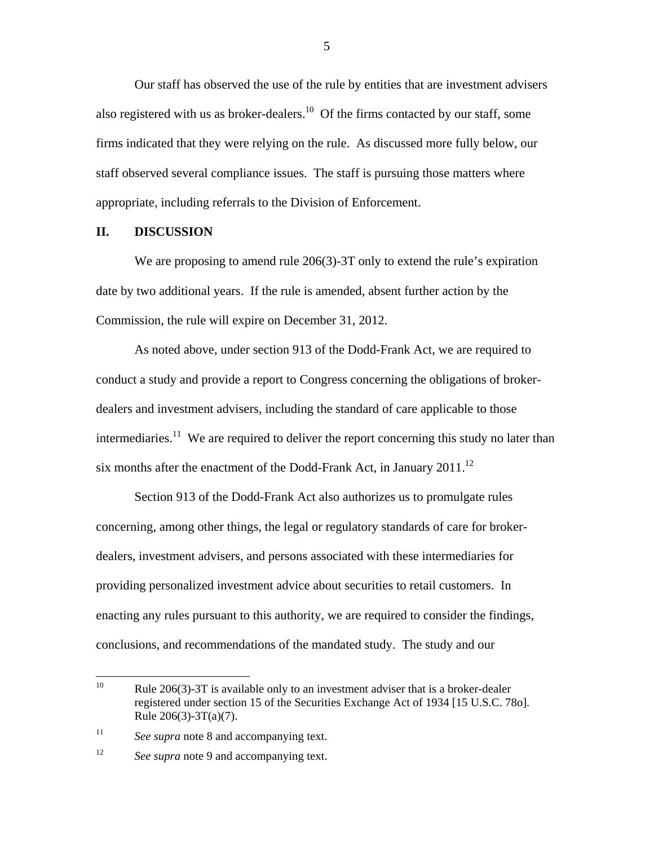Our staff has observed the use of the rule by entities that are investment advisers also registered with us as broker-dealers.<sup>10</sup> Of the firms contacted by our staff, some firms indicated that they were relying on the rule. As discussed more fully below, our staff observed several compliance issues. The staff is pursuing those matters where appropriate, including referrals to the Division of Enforcement.

# **II. DISCUSSION**

We are proposing to amend rule 206(3)-3T only to extend the rule's expiration date by two additional years. If the rule is amended, absent further action by the Commission, the rule will expire on December 31, 2012.

As noted above, under section 913 of the Dodd-Frank Act, we are required to conduct a study and provide a report to Congress concerning the obligations of brokerdealers and investment advisers, including the standard of care applicable to those intermediaries.<sup>11</sup> We are required to deliver the report concerning this study no later than six months after the enactment of the Dodd-Frank Act, in January  $2011$ .<sup>12</sup>

Section 913 of the Dodd-Frank Act also authorizes us to promulgate rules concerning, among other things, the legal or regulatory standards of care for brokerdealers, investment advisers, and persons associated with these intermediaries for providing personalized investment advice about securities to retail customers. In enacting any rules pursuant to this authority, we are required to consider the findings, conclusions, and recommendations of the mandated study. The study and our

<u>.</u>

 $\overline{a}$ Rule  $206(3)$ -3T is available only to an investment adviser that is a broker-dealer registered under section 15 of the Securities Exchange Act of 1934 [15 U.S.C. 78o]. Rule 206(3)-3T(a)(7).

 $11$ See *supra* note 8 and accompanying text.

<sup>12</sup> See *supra* note 9 and accompanying text.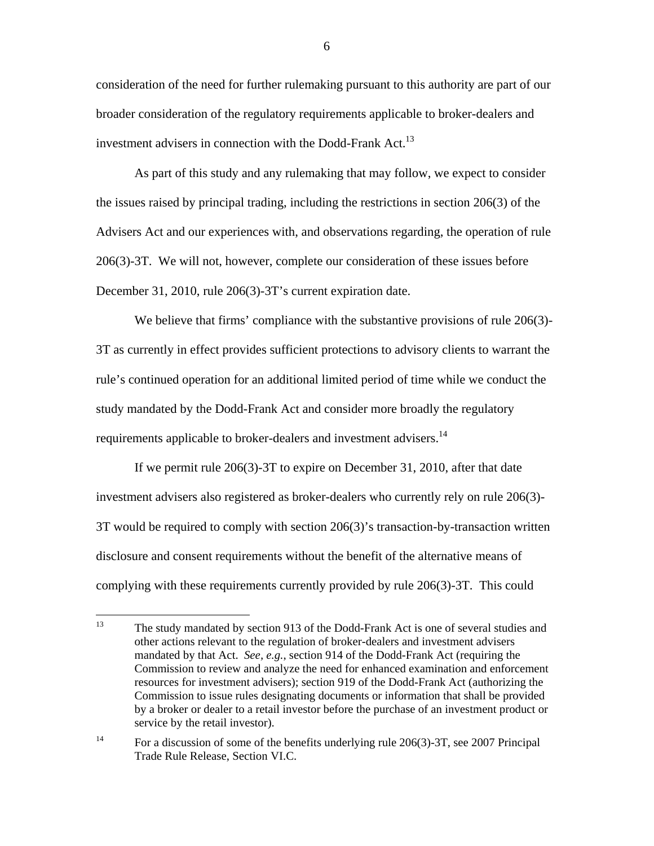consideration of the need for further rulemaking pursuant to this authority are part of our broader consideration of the regulatory requirements applicable to broker-dealers and investment advisers in connection with the Dodd-Frank Act.<sup>13</sup>

As part of this study and any rulemaking that may follow, we expect to consider the issues raised by principal trading, including the restrictions in section 206(3) of the Advisers Act and our experiences with, and observations regarding, the operation of rule 206(3)-3T. We will not, however, complete our consideration of these issues before December 31, 2010, rule 206(3)-3T's current expiration date.

requirements applicable to broker-dealers and investment advisers.<sup>14</sup> We believe that firms' compliance with the substantive provisions of rule 206(3)-3T as currently in effect provides sufficient protections to advisory clients to warrant the rule's continued operation for an additional limited period of time while we conduct the study mandated by the Dodd-Frank Act and consider more broadly the regulatory

If we permit rule 206(3)-3T to expire on December 31, 2010, after that date investment advisers also registered as broker-dealers who currently rely on rule 206(3)- 3T would be required to comply with section 206(3)'s transaction-by-transaction written disclosure and consent requirements without the benefit of the alternative means of complying with these requirements currently provided by rule 206(3)-3T. This could

1

The study mandated by section 913 of the Dodd-Frank Act is one of several studies and other actions relevant to the regulation of broker-dealers and investment advisers mandated by that Act. *See, e.g.*, section 914 of the Dodd-Frank Act (requiring the Commission to review and analyze the need for enhanced examination and enforcement resources for investment advisers); section 919 of the Dodd-Frank Act (authorizing the Commission to issue rules designating documents or information that shall be provided by a broker or dealer to a retail investor before the purchase of an investment product or service by the retail investor).

 $14$ For a discussion of some of the benefits underlying rule  $206(3)$ -3T, see 2007 Principal Trade Rule Release, Section VI.C.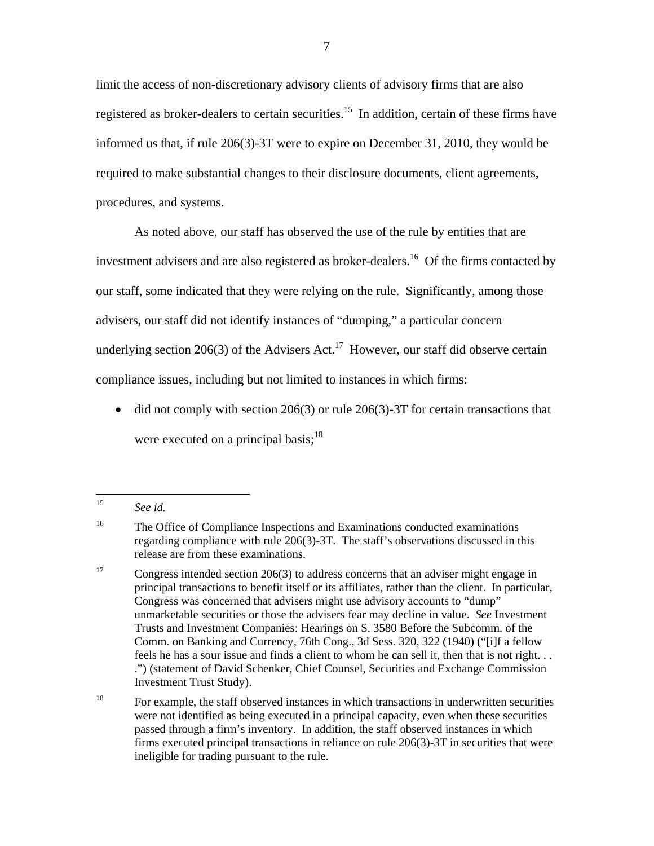limit the access of non-discretionary advisory clients of advisory firms that are also registered as broker-dealers to certain securities.<sup>15</sup> In addition, certain of these firms have informed us that, if rule 206(3)-3T were to expire on December 31, 2010, they would be required to make substantial changes to their disclosure documents, client agreements, procedures, and systems.

As noted above, our staff has observed the use of the rule by entities that are investment advisers and are also registered as broker-dealers.<sup>16</sup> Of the firms contacted by our staff, some indicated that they were relying on the rule. Significantly, among those advisers, our staff did not identify instances of "dumping," a particular concern underlying section 206(3) of the Advisers Act.<sup>17</sup> However, our staff did observe certain compliance issues, including but not limited to instances in which firms:

• did not comply with section 206(3) or rule 206(3)-3T for certain transactions that were executed on a principal basis; $^{18}$ 

See *id.* 

 $16\,$ The Office of Compliance Inspections and Examinations conducted examinations regarding compliance with rule 206(3)-3T. The staff's observations discussed in this release are from these examinations.

 $17\,$ Investment Trust Study). Congress intended section  $206(3)$  to address concerns that an adviser might engage in principal transactions to benefit itself or its affiliates, rather than the client. In particular, Congress was concerned that advisers might use advisory accounts to "dump" unmarketable securities or those the advisers fear may decline in value. *See* Investment Trusts and Investment Companies: Hearings on S. 3580 Before the Subcomm. of the Comm. on Banking and Currency, 76th Cong., 3d Sess. 320, 322 (1940) ("[i]f a fellow feels he has a sour issue and finds a client to whom he can sell it, then that is not right. . . .") (statement of David Schenker, Chief Counsel, Securities and Exchange Commission

 $18\,$  ineligible for trading pursuant to the rule. For example, the staff observed instances in which transactions in underwritten securities were not identified as being executed in a principal capacity, even when these securities passed through a firm's inventory. In addition, the staff observed instances in which firms executed principal transactions in reliance on rule 206(3)-3T in securities that were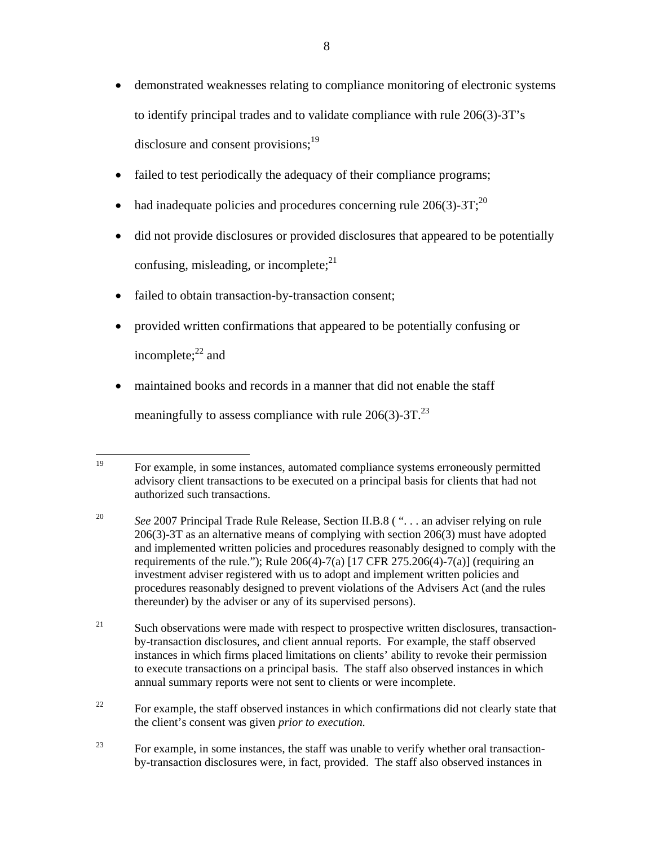- disclosure and consent provisions;<sup>19</sup> • demonstrated weaknesses relating to compliance monitoring of electronic systems to identify principal trades and to validate compliance with rule 206(3)-3T's
- failed to test periodically the adequacy of their compliance programs;
- had inadequate policies and procedures concerning rule  $206(3)-3T;^{20}$
- did not provide disclosures or provided disclosures that appeared to be potentially confusing, misleading, or incomplete; $^{21}$
- failed to obtain transaction-by-transaction consent;
- provided written confirmations that appeared to be potentially confusing or incomplete: $^{22}$  and
- maintained books and records in a manner that did not enable the staff meaningfully to assess compliance with rule  $206(3)$ -3T.<sup>23</sup>

- 21 Such observations were made with respect to prospective written disclosures, transactionby-transaction disclosures, and client annual reports. For example, the staff observed instances in which firms placed limitations on clients' ability to revoke their permission to execute transactions on a principal basis. The staff also observed instances in which annual summary reports were not sent to clients or were incomplete.
- 22 For example, the staff observed instances in which confirmations did not clearly state that the client's consent was given *prior to execution.*
- 23 For example, in some instances, the staff was unable to verify whether oral transactionby-transaction disclosures were, in fact, provided. The staff also observed instances in

<sup>1</sup> For example, in some instances, automated compliance systems erroneously permitted advisory client transactions to be executed on a principal basis for clients that had not authorized such transactions.

<sup>20</sup> See 2007 Principal Trade Rule Release, Section II.B.8 (". . . an adviser relying on rule 206(3)-3T as an alternative means of complying with section 206(3) must have adopted and implemented written policies and procedures reasonably designed to comply with the requirements of the rule."); Rule  $206(4)$ -7(a)  $[17$  CFR 275.206(4)-7(a)] (requiring an investment adviser registered with us to adopt and implement written policies and procedures reasonably designed to prevent violations of the Advisers Act (and the rules thereunder) by the adviser or any of its supervised persons).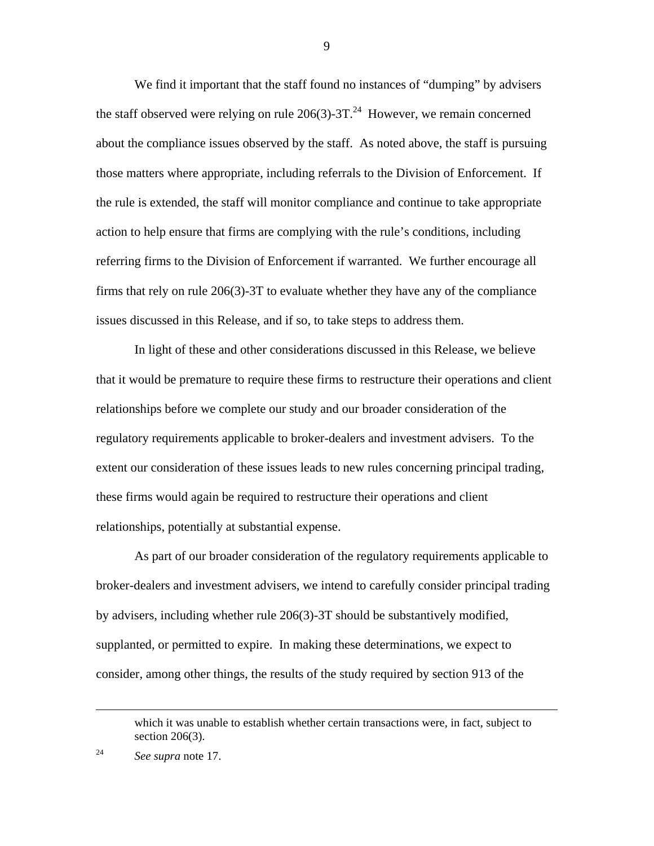We find it important that the staff found no instances of "dumping" by advisers the staff observed were relying on rule  $206(3)$ -3T.<sup>24</sup> However, we remain concerned about the compliance issues observed by the staff. As noted above, the staff is pursuing those matters where appropriate, including referrals to the Division of Enforcement. If the rule is extended, the staff will monitor compliance and continue to take appropriate action to help ensure that firms are complying with the rule's conditions, including referring firms to the Division of Enforcement if warranted. We further encourage all firms that rely on rule 206(3)-3T to evaluate whether they have any of the compliance issues discussed in this Release, and if so, to take steps to address them.

In light of these and other considerations discussed in this Release, we believe that it would be premature to require these firms to restructure their operations and client relationships before we complete our study and our broader consideration of the regulatory requirements applicable to broker-dealers and investment advisers. To the extent our consideration of these issues leads to new rules concerning principal trading, these firms would again be required to restructure their operations and client relationships, potentially at substantial expense.

As part of our broader consideration of the regulatory requirements applicable to broker-dealers and investment advisers, we intend to carefully consider principal trading by advisers, including whether rule 206(3)-3T should be substantively modified, supplanted, or permitted to expire. In making these determinations, we expect to consider, among other things, the results of the study required by section 913 of the

24

1

which it was unable to establish whether certain transactions were, in fact, subject to section 206(3).

See supra note 17.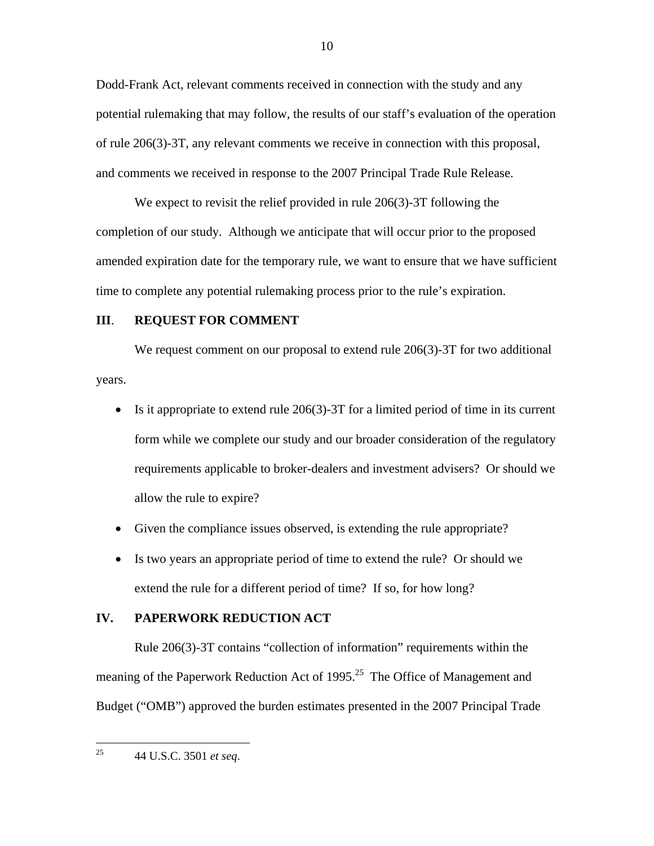Dodd-Frank Act, relevant comments received in connection with the study and any potential rulemaking that may follow, the results of our staff's evaluation of the operation of rule 206(3)-3T, any relevant comments we receive in connection with this proposal, and comments we received in response to the 2007 Principal Trade Rule Release.

We expect to revisit the relief provided in rule 206(3)-3T following the completion of our study. Although we anticipate that will occur prior to the proposed amended expiration date for the temporary rule, we want to ensure that we have sufficient time to complete any potential rulemaking process prior to the rule's expiration.

# **III**. **REQUEST FOR COMMENT**

We request comment on our proposal to extend rule 206(3)-3T for two additional years.

- Is it appropriate to extend rule  $206(3)$ -3T for a limited period of time in its current form while we complete our study and our broader consideration of the regulatory requirements applicable to broker-dealers and investment advisers? Or should we allow the rule to expire?
- Given the compliance issues observed, is extending the rule appropriate?
- Is two years an appropriate period of time to extend the rule? Or should we extend the rule for a different period of time? If so, for how long?

# **IV. PAPERWORK REDUCTION ACT**

Rule 206(3)-3T contains "collection of information" requirements within the meaning of the Paperwork Reduction Act of 1995.<sup>25</sup> The Office of Management and Budget ("OMB") approved the burden estimates presented in the 2007 Principal Trade

44 U.S.C. 3501 *et seq*. 25

 $\overline{a}$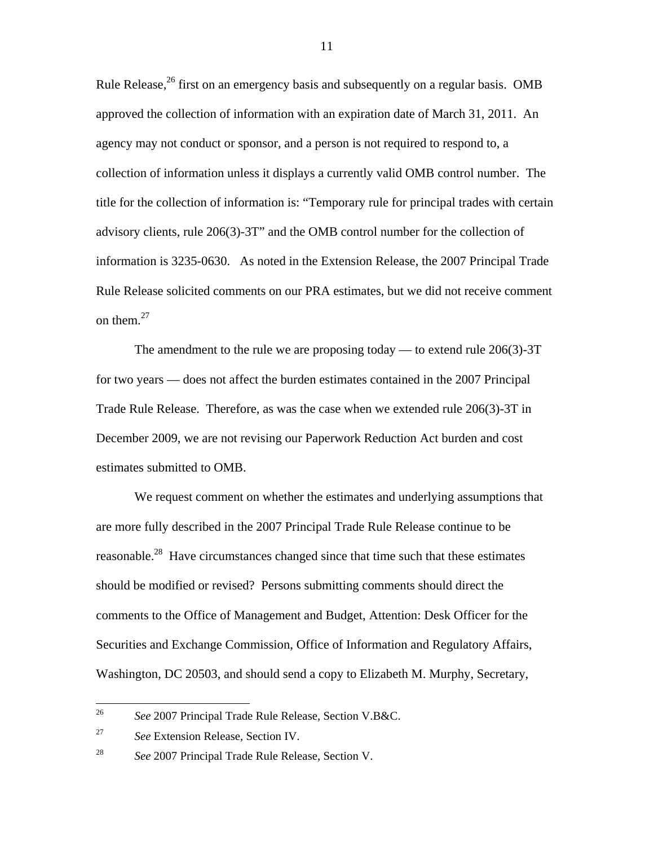Rule Release,<sup>26</sup> first on an emergency basis and subsequently on a regular basis. OMB approved the collection of information with an expiration date of March 31, 2011. An agency may not conduct or sponsor, and a person is not required to respond to, a collection of information unless it displays a currently valid OMB control number. The title for the collection of information is: "Temporary rule for principal trades with certain advisory clients, rule 206(3)-3T" and the OMB control number for the collection of information is 3235-0630. As noted in the Extension Release, the 2007 Principal Trade Rule Release solicited comments on our PRA estimates, but we did not receive comment on them. $27$ 

The amendment to the rule we are proposing today — to extend rule  $206(3)$ -3T for two years — does not affect the burden estimates contained in the 2007 Principal Trade Rule Release. Therefore, as was the case when we extended rule 206(3)-3T in December 2009, we are not revising our Paperwork Reduction Act burden and cost estimates submitted to OMB.

We request comment on whether the estimates and underlying assumptions that are more fully described in the 2007 Principal Trade Rule Release continue to be reasonable.<sup>28</sup> Have circumstances changed since that time such that these estimates should be modified or revised? Persons submitting comments should direct the comments to the Office of Management and Budget, Attention: Desk Officer for the Securities and Exchange Commission, Office of Information and Regulatory Affairs, Washington, DC 20503, and should send a copy to Elizabeth M. Murphy, Secretary,

<sup>26</sup>*See* 2007 Principal Trade Rule Release, Section V.B&C.

<sup>27</sup> <sup>27</sup>*See* Extension Release, Section IV.

<sup>28</sup> <sup>28</sup>*See* 2007 Principal Trade Rule Release, Section V.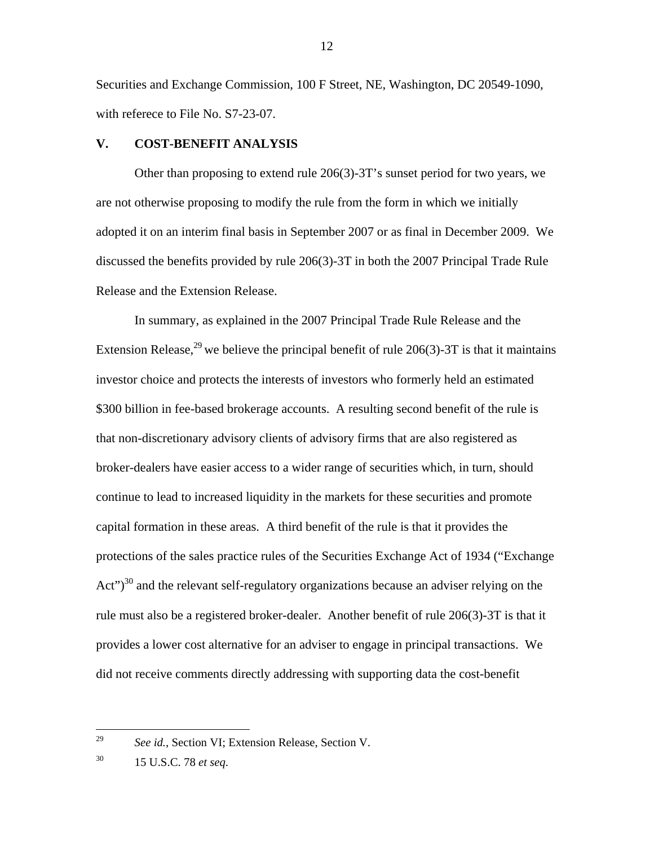Securities and Exchange Commission, 100 F Street, NE, Washington, DC 20549-1090, with referece to File No. S7-23-07.

# **V. COST-BENEFIT ANALYSIS**

Other than proposing to extend rule 206(3)-3T's sunset period for two years, we are not otherwise proposing to modify the rule from the form in which we initially adopted it on an interim final basis in September 2007 or as final in December 2009. We discussed the benefits provided by rule 206(3)-3T in both the 2007 Principal Trade Rule Release and the Extension Release.

In summary, as explained in the 2007 Principal Trade Rule Release and the Extension Release,<sup>29</sup> we believe the principal benefit of rule 206(3)-3T is that it maintains investor choice and protects the interests of investors who formerly held an estimated \$300 billion in fee-based brokerage accounts. A resulting second benefit of the rule is that non-discretionary advisory clients of advisory firms that are also registered as broker-dealers have easier access to a wider range of securities which, in turn, should continue to lead to increased liquidity in the markets for these securities and promote capital formation in these areas. A third benefit of the rule is that it provides the protections of the sales practice rules of the Securities Exchange Act of 1934 ("Exchange  $Act")<sup>30</sup>$  and the relevant self-regulatory organizations because an adviser relying on the rule must also be a registered broker-dealer. Another benefit of rule 206(3)-3T is that it provides a lower cost alternative for an adviser to engage in principal transactions. We did not receive comments directly addressing with supporting data the cost-benefit

 $\overline{a}$ 

See id., Section VI; Extension Release, Section V.

<sup>30</sup> 30 15 U.S.C. 78 *et seq*.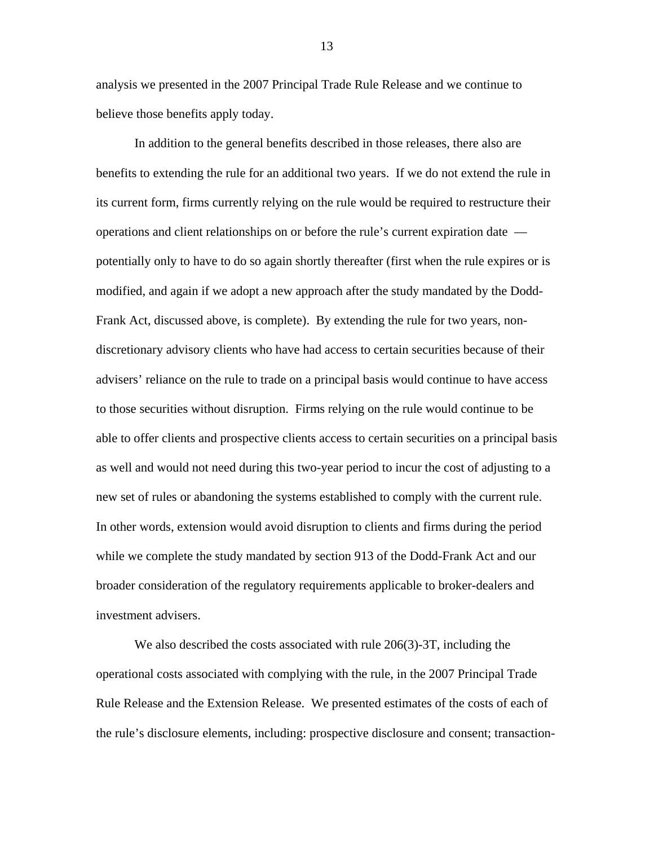analysis we presented in the 2007 Principal Trade Rule Release and we continue to believe those benefits apply today.

In addition to the general benefits described in those releases, there also are benefits to extending the rule for an additional two years. If we do not extend the rule in its current form, firms currently relying on the rule would be required to restructure their operations and client relationships on or before the rule's current expiration date potentially only to have to do so again shortly thereafter (first when the rule expires or is modified, and again if we adopt a new approach after the study mandated by the Dodd-Frank Act, discussed above, is complete). By extending the rule for two years, nondiscretionary advisory clients who have had access to certain securities because of their advisers' reliance on the rule to trade on a principal basis would continue to have access to those securities without disruption. Firms relying on the rule would continue to be able to offer clients and prospective clients access to certain securities on a principal basis as well and would not need during this two-year period to incur the cost of adjusting to a new set of rules or abandoning the systems established to comply with the current rule. In other words, extension would avoid disruption to clients and firms during the period while we complete the study mandated by section 913 of the Dodd-Frank Act and our broader consideration of the regulatory requirements applicable to broker-dealers and investment advisers.

We also described the costs associated with rule 206(3)-3T, including the operational costs associated with complying with the rule, in the 2007 Principal Trade Rule Release and the Extension Release. We presented estimates of the costs of each of the rule's disclosure elements, including: prospective disclosure and consent; transaction-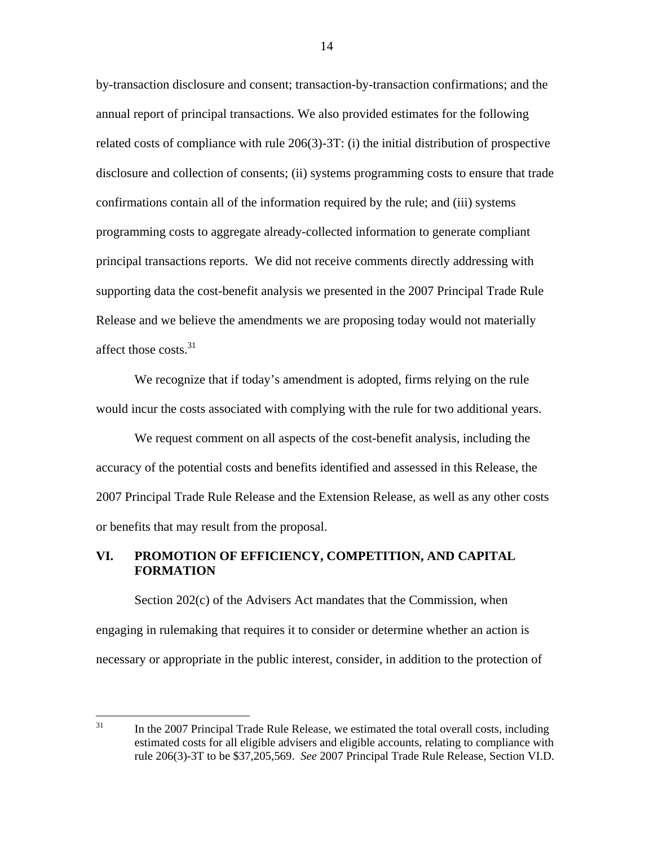affect those costs.<sup>31</sup> by-transaction disclosure and consent; transaction-by-transaction confirmations; and the annual report of principal transactions. We also provided estimates for the following related costs of compliance with rule 206(3)-3T: (i) the initial distribution of prospective disclosure and collection of consents; (ii) systems programming costs to ensure that trade confirmations contain all of the information required by the rule; and (iii) systems programming costs to aggregate already-collected information to generate compliant principal transactions reports. We did not receive comments directly addressing with supporting data the cost-benefit analysis we presented in the 2007 Principal Trade Rule Release and we believe the amendments we are proposing today would not materially

 would incur the costs associated with complying with the rule for two additional years. We request comment on all aspects of the cost-benefit analysis, including the We recognize that if today's amendment is adopted, firms relying on the rule

accuracy of the potential costs and benefits identified and assessed in this Release, the 2007 Principal Trade Rule Release and the Extension Release, as well as any other costs or benefits that may result from the proposal.

# **VI. PROMOTION OF EFFICIENCY, COMPETITION, AND CAPITAL FORMATION**

Section 202(c) of the Advisers Act mandates that the Commission, when engaging in rulemaking that requires it to consider or determine whether an action is necessary or appropriate in the public interest, consider, in addition to the protection of

 31 In the 2007 Principal Trade Rule Release, we estimated the total overall costs, including estimated costs for all eligible advisers and eligible accounts, relating to compliance with rule 206(3)-3T to be \$37,205,569. *See* 2007 Principal Trade Rule Release, Section VI.D.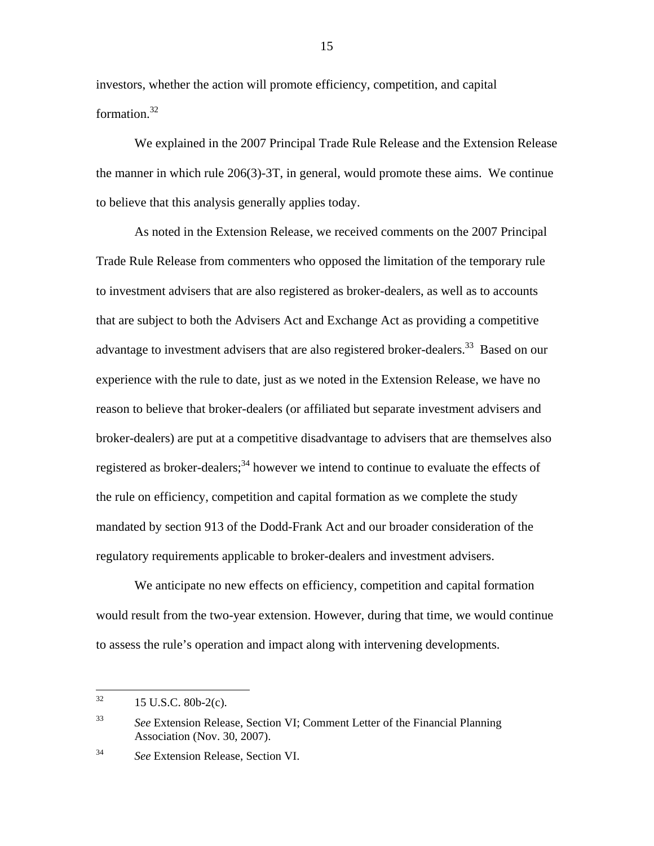investors, whether the action will promote efficiency, competition, and capital formation.32

We explained in the 2007 Principal Trade Rule Release and the Extension Release the manner in which rule 206(3)-3T, in general, would promote these aims. We continue to believe that this analysis generally applies today.

As noted in the Extension Release, we received comments on the 2007 Principal Trade Rule Release from commenters who opposed the limitation of the temporary rule to investment advisers that are also registered as broker-dealers, as well as to accounts that are subject to both the Advisers Act and Exchange Act as providing a competitive advantage to investment advisers that are also registered broker-dealers.<sup>33</sup> Based on our experience with the rule to date, just as we noted in the Extension Release, we have no reason to believe that broker-dealers (or affiliated but separate investment advisers and broker-dealers) are put at a competitive disadvantage to advisers that are themselves also registered as broker-dealers;<sup>34</sup> however we intend to continue to evaluate the effects of the rule on efficiency, competition and capital formation as we complete the study mandated by section 913 of the Dodd-Frank Act and our broader consideration of the regulatory requirements applicable to broker-dealers and investment advisers.

We anticipate no new effects on efficiency, competition and capital formation would result from the two-year extension. However, during that time, we would continue to assess the rule's operation and impact along with intervening developments.

<u>.</u>

<sup>15</sup> U.S.C. 80b-2(c).

<sup>33</sup> <sup>33</sup>*See* Extension Release, Section VI; Comment Letter of the Financial Planning Association (Nov. 30, 2007).

<sup>34</sup> <sup>34</sup>*See* Extension Release, Section VI.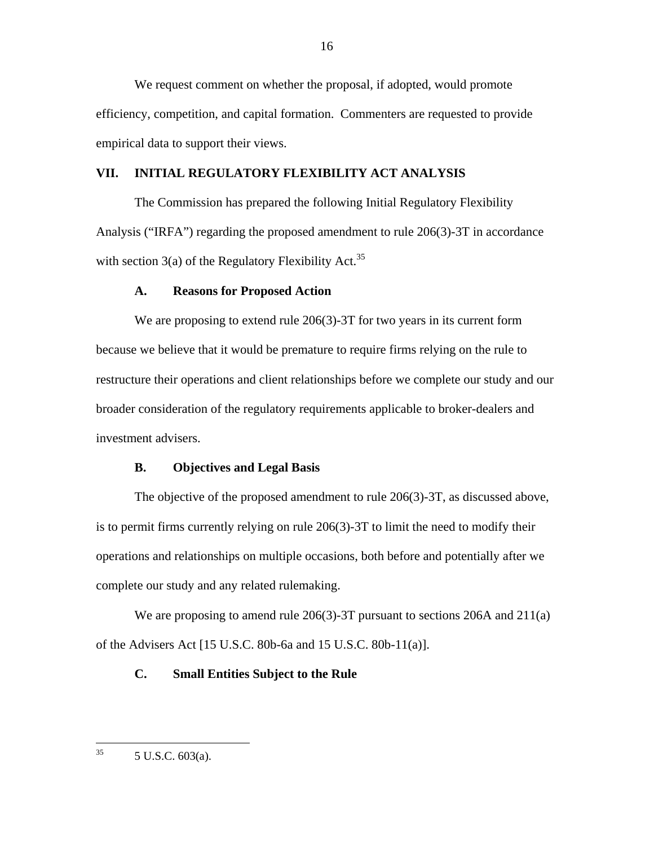We request comment on whether the proposal, if adopted, would promote efficiency, competition, and capital formation. Commenters are requested to provide empirical data to support their views.

# **VII. INITIAL REGULATORY FLEXIBILITY ACT ANALYSIS**

with section  $3(a)$  of the Regulatory Flexibility Act.<sup>35</sup> The Commission has prepared the following Initial Regulatory Flexibility Analysis ("IRFA") regarding the proposed amendment to rule 206(3)-3T in accordance

## **A. Reasons for Proposed Action**

We are proposing to extend rule 206(3)-3T for two years in its current form because we believe that it would be premature to require firms relying on the rule to restructure their operations and client relationships before we complete our study and our broader consideration of the regulatory requirements applicable to broker-dealers and investment advisers.

## **B. Objectives and Legal Basis**

The objective of the proposed amendment to rule 206(3)-3T, as discussed above, is to permit firms currently relying on rule 206(3)-3T to limit the need to modify their operations and relationships on multiple occasions, both before and potentially after we complete our study and any related rulemaking.

We are proposing to amend rule 206(3)-3T pursuant to sections 206A and 211(a) of the Advisers Act [15 U.S.C. 80b-6a and 15 U.S.C. 80b-11(a)].

#### **C. Small Entities Subject to the Rule**

 $\overline{a}$ 

<sup>5</sup> U.S.C. 603(a).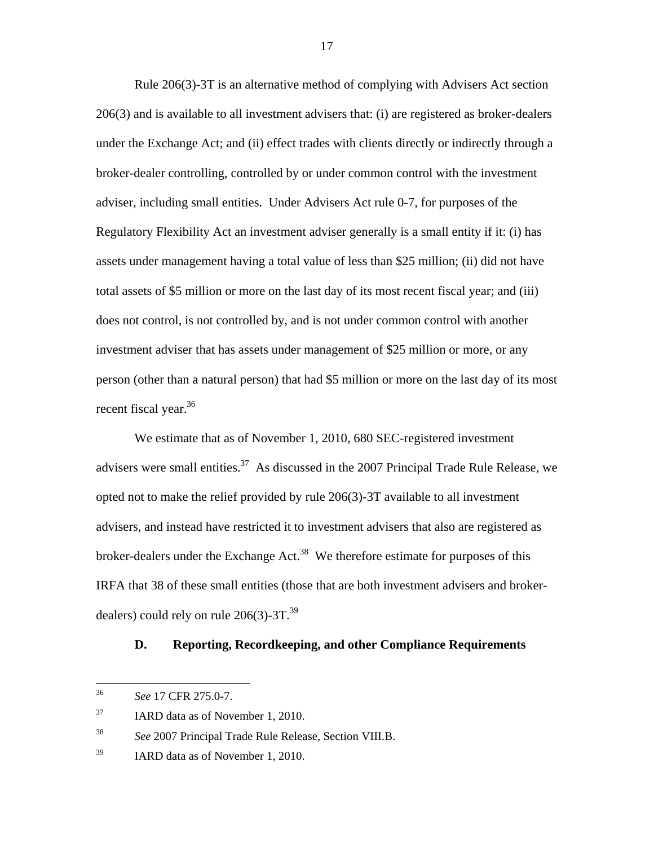Rule 206(3)-3T is an alternative method of complying with Advisers Act section 206(3) and is available to all investment advisers that: (i) are registered as broker-dealers under the Exchange Act; and (ii) effect trades with clients directly or indirectly through a broker-dealer controlling, controlled by or under common control with the investment adviser, including small entities. Under Advisers Act rule 0-7, for purposes of the Regulatory Flexibility Act an investment adviser generally is a small entity if it: (i) has assets under management having a total value of less than \$25 million; (ii) did not have total assets of \$5 million or more on the last day of its most recent fiscal year; and (iii) does not control, is not controlled by, and is not under common control with another investment adviser that has assets under management of \$25 million or more, or any person (other than a natural person) that had \$5 million or more on the last day of its most recent fiscal year.<sup>36</sup>

We estimate that as of November 1, 2010, 680 SEC-registered investment advisers were small entities. $37$  As discussed in the 2007 Principal Trade Rule Release, we opted not to make the relief provided by rule 206(3)-3T available to all investment advisers, and instead have restricted it to investment advisers that also are registered as broker-dealers under the Exchange Act.<sup>38</sup> We therefore estimate for purposes of this IRFA that 38 of these small entities (those that are both investment advisers and brokerdealers) could rely on rule  $206(3)$ -3T.<sup>39</sup>

# **D. Reporting, Recordkeeping, and other Compliance Requirements**

<u>.</u>

<sup>36</sup>*See* 17 CFR 275.0-7.

<sup>37</sup> IARD data as of November 1, 2010.

<sup>38</sup> <sup>38</sup>*See* 2007 Principal Trade Rule Release, Section VIII.B.

<sup>39</sup> IARD data as of November 1, 2010.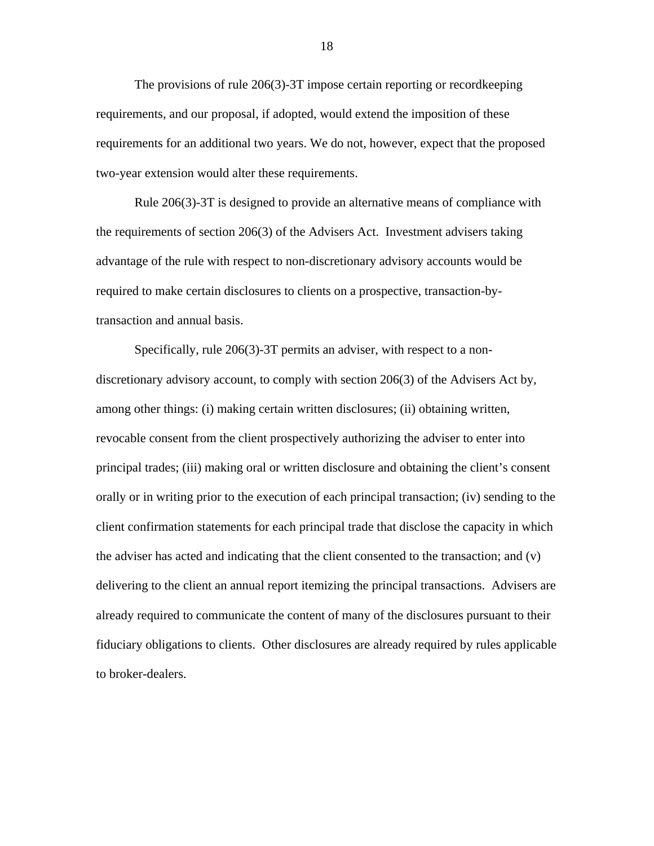The provisions of rule 206(3)-3T impose certain reporting or recordkeeping requirements, and our proposal, if adopted, would extend the imposition of these requirements for an additional two years. We do not, however, expect that the proposed two-year extension would alter these requirements.

Rule 206(3)-3T is designed to provide an alternative means of compliance with the requirements of section 206(3) of the Advisers Act. Investment advisers taking advantage of the rule with respect to non-discretionary advisory accounts would be required to make certain disclosures to clients on a prospective, transaction-bytransaction and annual basis.

Specifically, rule 206(3)-3T permits an adviser, with respect to a nondiscretionary advisory account, to comply with section 206(3) of the Advisers Act by, among other things: (i) making certain written disclosures; (ii) obtaining written, revocable consent from the client prospectively authorizing the adviser to enter into principal trades; (iii) making oral or written disclosure and obtaining the client's consent orally or in writing prior to the execution of each principal transaction; (iv) sending to the client confirmation statements for each principal trade that disclose the capacity in which the adviser has acted and indicating that the client consented to the transaction; and  $(v)$ delivering to the client an annual report itemizing the principal transactions. Advisers are already required to communicate the content of many of the disclosures pursuant to their fiduciary obligations to clients. Other disclosures are already required by rules applicable to broker-dealers.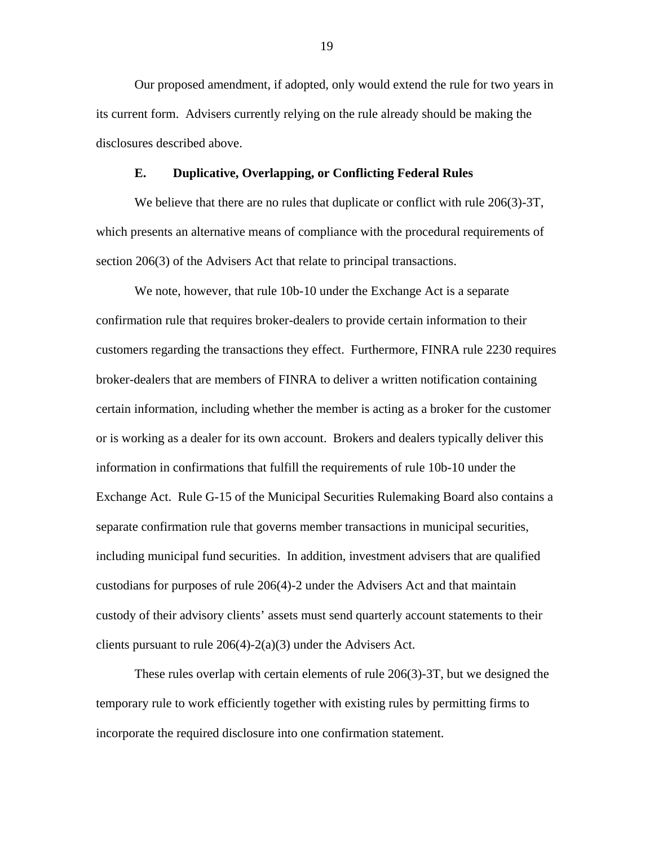Our proposed amendment, if adopted, only would extend the rule for two years in its current form. Advisers currently relying on the rule already should be making the disclosures described above.

## **E. Duplicative, Overlapping, or Conflicting Federal Rules**

We believe that there are no rules that duplicate or conflict with rule 206(3)-3T, which presents an alternative means of compliance with the procedural requirements of section 206(3) of the Advisers Act that relate to principal transactions.

We note, however, that rule 10b-10 under the Exchange Act is a separate confirmation rule that requires broker-dealers to provide certain information to their customers regarding the transactions they effect. Furthermore, FINRA rule 2230 requires broker-dealers that are members of FINRA to deliver a written notification containing certain information, including whether the member is acting as a broker for the customer or is working as a dealer for its own account. Brokers and dealers typically deliver this information in confirmations that fulfill the requirements of rule 10b-10 under the Exchange Act. Rule G-15 of the Municipal Securities Rulemaking Board also contains a separate confirmation rule that governs member transactions in municipal securities, including municipal fund securities. In addition, investment advisers that are qualified custodians for purposes of rule 206(4)-2 under the Advisers Act and that maintain custody of their advisory clients' assets must send quarterly account statements to their clients pursuant to rule 206(4)-2(a)(3) under the Advisers Act.

These rules overlap with certain elements of rule 206(3)-3T, but we designed the temporary rule to work efficiently together with existing rules by permitting firms to incorporate the required disclosure into one confirmation statement.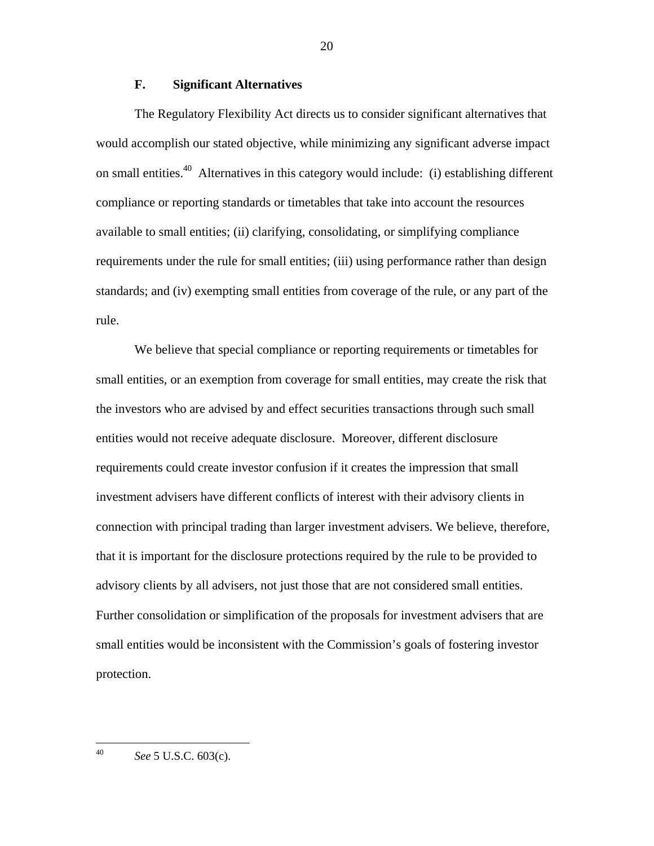# **F. Significant Alternatives**

The Regulatory Flexibility Act directs us to consider significant alternatives that would accomplish our stated objective, while minimizing any significant adverse impact on small entities.<sup>40</sup> Alternatives in this category would include: (i) establishing different compliance or reporting standards or timetables that take into account the resources available to small entities; (ii) clarifying, consolidating, or simplifying compliance requirements under the rule for small entities; (iii) using performance rather than design standards; and (iv) exempting small entities from coverage of the rule, or any part of the rule.

We believe that special compliance or reporting requirements or timetables for small entities, or an exemption from coverage for small entities, may create the risk that the investors who are advised by and effect securities transactions through such small entities would not receive adequate disclosure. Moreover, different disclosure requirements could create investor confusion if it creates the impression that small investment advisers have different conflicts of interest with their advisory clients in connection with principal trading than larger investment advisers. We believe, therefore, that it is important for the disclosure protections required by the rule to be provided to advisory clients by all advisers, not just those that are not considered small entities. Further consolidation or simplification of the proposals for investment advisers that are small entities would be inconsistent with the Commission's goals of fostering investor protection.

 $\overline{a}$ 

<sup>40</sup> *See* 5 U.S.C. 603(c).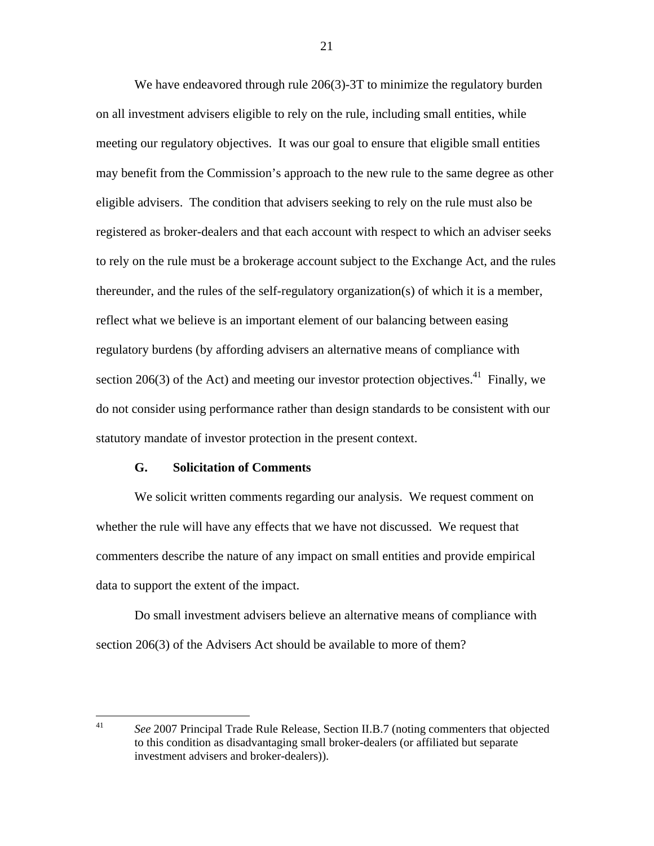We have endeavored through rule 206(3)-3T to minimize the regulatory burden on all investment advisers eligible to rely on the rule, including small entities, while meeting our regulatory objectives. It was our goal to ensure that eligible small entities may benefit from the Commission's approach to the new rule to the same degree as other eligible advisers. The condition that advisers seeking to rely on the rule must also be registered as broker-dealers and that each account with respect to which an adviser seeks to rely on the rule must be a brokerage account subject to the Exchange Act, and the rules thereunder, and the rules of the self-regulatory organization(s) of which it is a member, reflect what we believe is an important element of our balancing between easing regulatory burdens (by affording advisers an alternative means of compliance with section 206(3) of the Act) and meeting our investor protection objectives.<sup>41</sup> Finally, we do not consider using performance rather than design standards to be consistent with our statutory mandate of investor protection in the present context.

## **G. Solicitation of Comments**

 $\overline{a}$ 

We solicit written comments regarding our analysis. We request comment on whether the rule will have any effects that we have not discussed. We request that commenters describe the nature of any impact on small entities and provide empirical data to support the extent of the impact.

Do small investment advisers believe an alternative means of compliance with section 206(3) of the Advisers Act should be available to more of them?

 41 *See* 2007 Principal Trade Rule Release, Section II.B.7 (noting commenters that objected to this condition as disadvantaging small broker-dealers (or affiliated but separate investment advisers and broker-dealers)).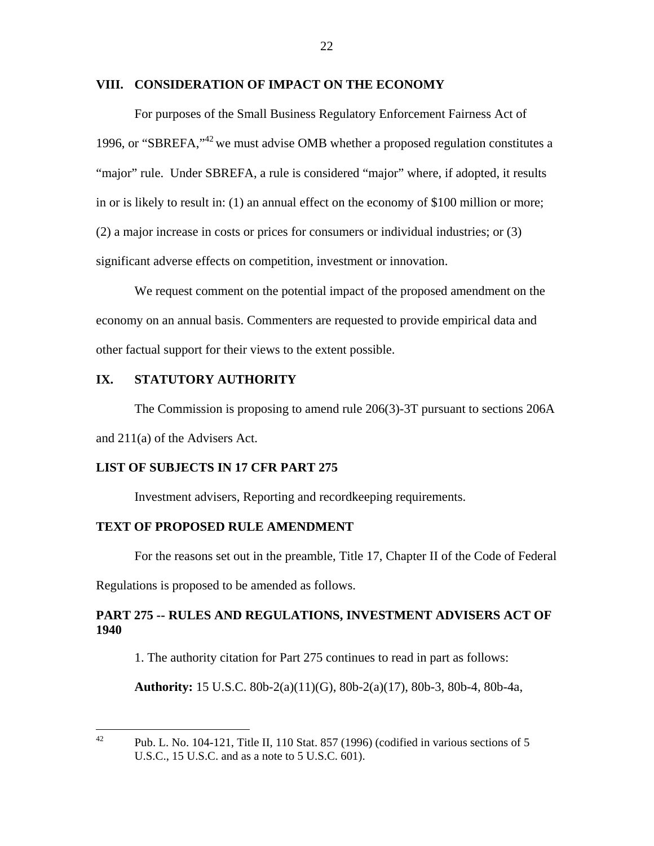# **VIII. CONSIDERATION OF IMPACT ON THE ECONOMY**

For purposes of the Small Business Regulatory Enforcement Fairness Act of 1996, or "SBREFA,"<sup>42</sup> we must advise OMB whether a proposed regulation constitutes a "major" rule. Under SBREFA, a rule is considered "major" where, if adopted, it results in or is likely to result in: (1) an annual effect on the economy of \$100 million or more; (2) a major increase in costs or prices for consumers or individual industries; or (3) significant adverse effects on competition, investment or innovation.

We request comment on the potential impact of the proposed amendment on the economy on an annual basis. Commenters are requested to provide empirical data and other factual support for their views to the extent possible.

# **IX. STATUTORY AUTHORITY**

The Commission is proposing to amend rule 206(3)-3T pursuant to sections 206A and 211(a) of the Advisers Act.

# **LIST OF SUBJECTS IN 17 CFR PART 275**

Investment advisers, Reporting and recordkeeping requirements.

#### **TEXT OF PROPOSED RULE AMENDMENT**

For the reasons set out in the preamble, Title 17, Chapter II of the Code of Federal

Regulations is proposed to be amended as follows.

1

# **PART 275 -- RULES AND REGULATIONS, INVESTMENT ADVISERS ACT OF 1940**

1. The authority citation for Part 275 continues to read in part as follows:

**Authority:** 15 U.S.C. 80b-2(a)(11)(G), 80b-2(a)(17), 80b-3, 80b-4, 80b-4a,

Pub. L. No. 104-121, Title II, 110 Stat. 857 (1996) (codified in various sections of 5 U.S.C., 15 U.S.C. and as a note to 5 U.S.C. 601).